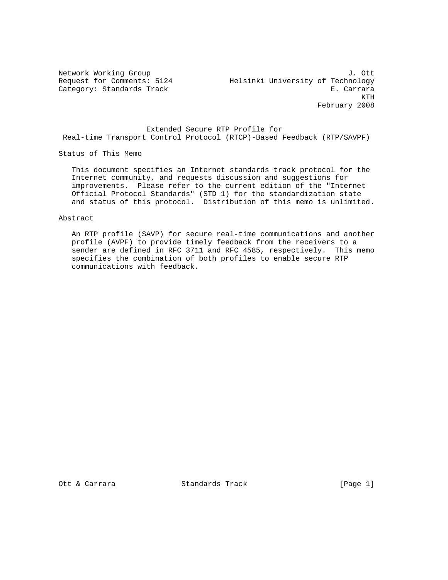Network Working Group J. Ott Request for Comments: 5124 Helsinki University of Technology Category: Standards Track E. Carrara KTH February 2008

 Extended Secure RTP Profile for Real-time Transport Control Protocol (RTCP)-Based Feedback (RTP/SAVPF)

Status of This Memo

 This document specifies an Internet standards track protocol for the Internet community, and requests discussion and suggestions for improvements. Please refer to the current edition of the "Internet Official Protocol Standards" (STD 1) for the standardization state and status of this protocol. Distribution of this memo is unlimited.

Abstract

 An RTP profile (SAVP) for secure real-time communications and another profile (AVPF) to provide timely feedback from the receivers to a sender are defined in RFC 3711 and RFC 4585, respectively. This memo specifies the combination of both profiles to enable secure RTP communications with feedback.

Ott & Carrara Standards Track [Page 1]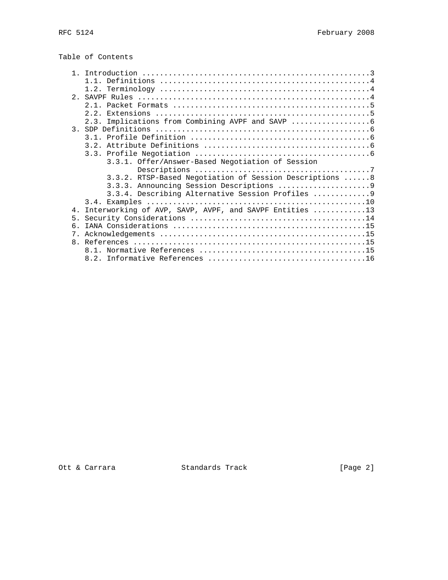| Table of Contents |  |  |  |
|-------------------|--|--|--|
|-------------------|--|--|--|

|                | 2.3. Implications from Combining AVPF and SAVP          |
|----------------|---------------------------------------------------------|
|                |                                                         |
|                |                                                         |
|                |                                                         |
|                |                                                         |
|                | 3.3.1. Offer/Answer-Based Negotiation of Session        |
|                |                                                         |
|                | 3.3.2. RTSP-Based Negotiation of Session Descriptions 8 |
|                |                                                         |
|                | 3.3.4. Describing Alternative Session Profiles  9       |
|                |                                                         |
| 4 <sub>1</sub> | Interworking of AVP, SAVP, AVPF, and SAVPF Entities 13  |
| 5 <sub>1</sub> |                                                         |
| 6.             |                                                         |
| 7.             |                                                         |
|                |                                                         |
|                |                                                         |
|                |                                                         |

Ott & Carrara Standards Track [Page 2]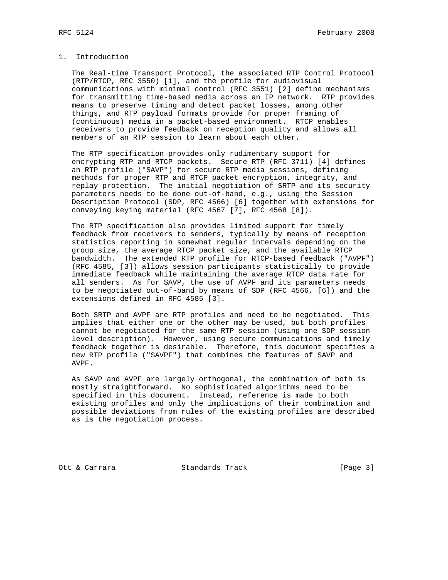# 1. Introduction

 The Real-time Transport Protocol, the associated RTP Control Protocol (RTP/RTCP, RFC 3550) [1], and the profile for audiovisual communications with minimal control (RFC 3551) [2] define mechanisms for transmitting time-based media across an IP network. RTP provides means to preserve timing and detect packet losses, among other things, and RTP payload formats provide for proper framing of (continuous) media in a packet-based environment. RTCP enables receivers to provide feedback on reception quality and allows all members of an RTP session to learn about each other.

 The RTP specification provides only rudimentary support for encrypting RTP and RTCP packets. Secure RTP (RFC 3711) [4] defines an RTP profile ("SAVP") for secure RTP media sessions, defining methods for proper RTP and RTCP packet encryption, integrity, and replay protection. The initial negotiation of SRTP and its security parameters needs to be done out-of-band, e.g., using the Session Description Protocol (SDP, RFC 4566) [6] together with extensions for conveying keying material (RFC 4567 [7], RFC 4568 [8]).

 The RTP specification also provides limited support for timely feedback from receivers to senders, typically by means of reception statistics reporting in somewhat regular intervals depending on the group size, the average RTCP packet size, and the available RTCP bandwidth. The extended RTP profile for RTCP-based feedback ("AVPF") (RFC 4585, [3]) allows session participants statistically to provide immediate feedback while maintaining the average RTCP data rate for all senders. As for SAVP, the use of AVPF and its parameters needs to be negotiated out-of-band by means of SDP (RFC 4566, [6]) and the extensions defined in RFC 4585 [3].

 Both SRTP and AVPF are RTP profiles and need to be negotiated. This implies that either one or the other may be used, but both profiles cannot be negotiated for the same RTP session (using one SDP session level description). However, using secure communications and timely feedback together is desirable. Therefore, this document specifies a new RTP profile ("SAVPF") that combines the features of SAVP and AVPF.

 As SAVP and AVPF are largely orthogonal, the combination of both is mostly straightforward. No sophisticated algorithms need to be specified in this document. Instead, reference is made to both existing profiles and only the implications of their combination and possible deviations from rules of the existing profiles are described as is the negotiation process.

Ott & Carrara Standards Track [Page 3]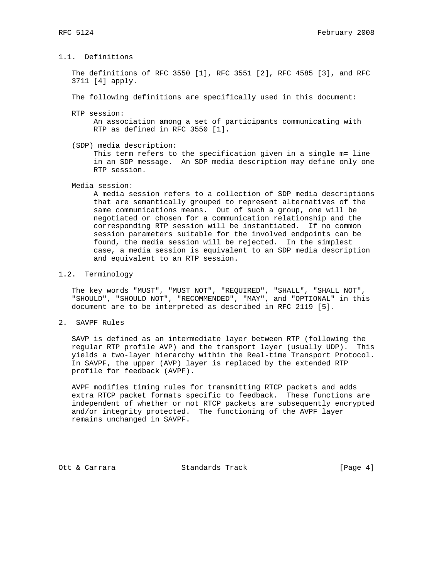# 1.1. Definitions

 The definitions of RFC 3550 [1], RFC 3551 [2], RFC 4585 [3], and RFC 3711 [4] apply.

The following definitions are specifically used in this document:

- RTP session: An association among a set of participants communicating with RTP as defined in RFC 3550 [1].
- (SDP) media description: This term refers to the specification given in a single m= line in an SDP message. An SDP media description may define only one RTP session.

#### Media session:

 A media session refers to a collection of SDP media descriptions that are semantically grouped to represent alternatives of the same communications means. Out of such a group, one will be negotiated or chosen for a communication relationship and the corresponding RTP session will be instantiated. If no common session parameters suitable for the involved endpoints can be found, the media session will be rejected. In the simplest case, a media session is equivalent to an SDP media description and equivalent to an RTP session.

#### 1.2. Terminology

 The key words "MUST", "MUST NOT", "REQUIRED", "SHALL", "SHALL NOT", "SHOULD", "SHOULD NOT", "RECOMMENDED", "MAY", and "OPTIONAL" in this document are to be interpreted as described in RFC 2119 [5].

2. SAVPF Rules

 SAVP is defined as an intermediate layer between RTP (following the regular RTP profile AVP) and the transport layer (usually UDP). This yields a two-layer hierarchy within the Real-time Transport Protocol. In SAVPF, the upper (AVP) layer is replaced by the extended RTP profile for feedback (AVPF).

 AVPF modifies timing rules for transmitting RTCP packets and adds extra RTCP packet formats specific to feedback. These functions are independent of whether or not RTCP packets are subsequently encrypted and/or integrity protected. The functioning of the AVPF layer remains unchanged in SAVPF.

Ott & Carrara Standards Track [Page 4]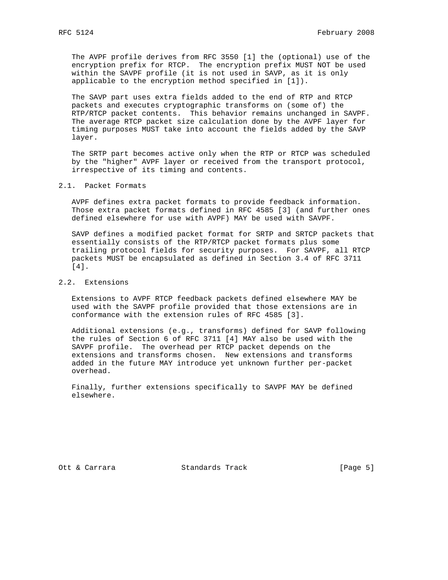The AVPF profile derives from RFC 3550 [1] the (optional) use of the encryption prefix for RTCP. The encryption prefix MUST NOT be used within the SAVPF profile (it is not used in SAVP, as it is only applicable to the encryption method specified in [1]).

 The SAVP part uses extra fields added to the end of RTP and RTCP packets and executes cryptographic transforms on (some of) the RTP/RTCP packet contents. This behavior remains unchanged in SAVPF. The average RTCP packet size calculation done by the AVPF layer for timing purposes MUST take into account the fields added by the SAVP layer.

 The SRTP part becomes active only when the RTP or RTCP was scheduled by the "higher" AVPF layer or received from the transport protocol, irrespective of its timing and contents.

### 2.1. Packet Formats

 AVPF defines extra packet formats to provide feedback information. Those extra packet formats defined in RFC 4585 [3] (and further ones defined elsewhere for use with AVPF) MAY be used with SAVPF.

 SAVP defines a modified packet format for SRTP and SRTCP packets that essentially consists of the RTP/RTCP packet formats plus some trailing protocol fields for security purposes. For SAVPF, all RTCP packets MUST be encapsulated as defined in Section 3.4 of RFC 3711 [4].

# 2.2. Extensions

 Extensions to AVPF RTCP feedback packets defined elsewhere MAY be used with the SAVPF profile provided that those extensions are in conformance with the extension rules of RFC 4585 [3].

 Additional extensions (e.g., transforms) defined for SAVP following the rules of Section 6 of RFC 3711 [4] MAY also be used with the SAVPF profile. The overhead per RTCP packet depends on the extensions and transforms chosen. New extensions and transforms added in the future MAY introduce yet unknown further per-packet overhead.

 Finally, further extensions specifically to SAVPF MAY be defined elsewhere.

Ott & Carrara Standards Track [Page 5]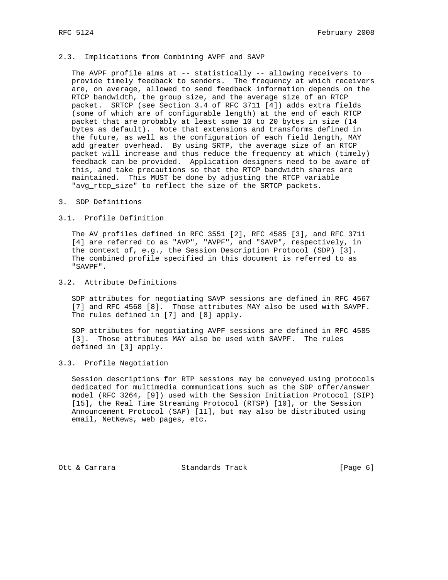### 2.3. Implications from Combining AVPF and SAVP

The AVPF profile aims at -- statistically -- allowing receivers to provide timely feedback to senders. The frequency at which receivers are, on average, allowed to send feedback information depends on the RTCP bandwidth, the group size, and the average size of an RTCP packet. SRTCP (see Section 3.4 of RFC 3711 [4]) adds extra fields (some of which are of configurable length) at the end of each RTCP packet that are probably at least some 10 to 20 bytes in size (14 bytes as default). Note that extensions and transforms defined in the future, as well as the configuration of each field length, MAY add greater overhead. By using SRTP, the average size of an RTCP packet will increase and thus reduce the frequency at which (timely) feedback can be provided. Application designers need to be aware of this, and take precautions so that the RTCP bandwidth shares are maintained. This MUST be done by adjusting the RTCP variable "avg\_rtcp\_size" to reflect the size of the SRTCP packets.

3. SDP Definitions

#### 3.1. Profile Definition

 The AV profiles defined in RFC 3551 [2], RFC 4585 [3], and RFC 3711 [4] are referred to as "AVP", "AVPF", and "SAVP", respectively, in the context of, e.g., the Session Description Protocol (SDP) [3]. The combined profile specified in this document is referred to as "SAVPF".

## 3.2. Attribute Definitions

 SDP attributes for negotiating SAVP sessions are defined in RFC 4567 [7] and RFC 4568 [8]. Those attributes MAY also be used with SAVPF. The rules defined in [7] and [8] apply.

 SDP attributes for negotiating AVPF sessions are defined in RFC 4585 [3]. Those attributes MAY also be used with SAVPF. The rules defined in [3] apply.

### 3.3. Profile Negotiation

 Session descriptions for RTP sessions may be conveyed using protocols dedicated for multimedia communications such as the SDP offer/answer model (RFC 3264, [9]) used with the Session Initiation Protocol (SIP) [15], the Real Time Streaming Protocol (RTSP) [10], or the Session Announcement Protocol (SAP) [11], but may also be distributed using email, NetNews, web pages, etc.

Ott & Carrara Standards Track [Page 6]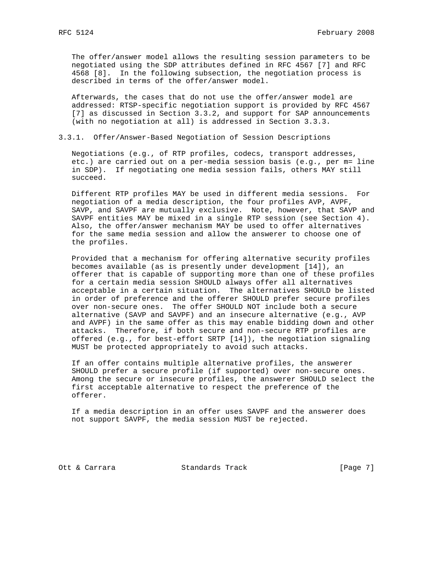The offer/answer model allows the resulting session parameters to be negotiated using the SDP attributes defined in RFC 4567 [7] and RFC 4568 [8]. In the following subsection, the negotiation process is described in terms of the offer/answer model.

 Afterwards, the cases that do not use the offer/answer model are addressed: RTSP-specific negotiation support is provided by RFC 4567 [7] as discussed in Section 3.3.2, and support for SAP announcements (with no negotiation at all) is addressed in Section 3.3.3.

3.3.1. Offer/Answer-Based Negotiation of Session Descriptions

 Negotiations (e.g., of RTP profiles, codecs, transport addresses, etc.) are carried out on a per-media session basis (e.g., per m= line in SDP). If negotiating one media session fails, others MAY still succeed.

 Different RTP profiles MAY be used in different media sessions. For negotiation of a media description, the four profiles AVP, AVPF, SAVP, and SAVPF are mutually exclusive. Note, however, that SAVP and SAVPF entities MAY be mixed in a single RTP session (see Section 4). Also, the offer/answer mechanism MAY be used to offer alternatives for the same media session and allow the answerer to choose one of the profiles.

 Provided that a mechanism for offering alternative security profiles becomes available (as is presently under development [14]), an offerer that is capable of supporting more than one of these profiles for a certain media session SHOULD always offer all alternatives acceptable in a certain situation. The alternatives SHOULD be listed in order of preference and the offerer SHOULD prefer secure profiles over non-secure ones. The offer SHOULD NOT include both a secure alternative (SAVP and SAVPF) and an insecure alternative (e.g., AVP and AVPF) in the same offer as this may enable bidding down and other attacks. Therefore, if both secure and non-secure RTP profiles are offered (e.g., for best-effort SRTP [14]), the negotiation signaling MUST be protected appropriately to avoid such attacks.

 If an offer contains multiple alternative profiles, the answerer SHOULD prefer a secure profile (if supported) over non-secure ones. Among the secure or insecure profiles, the answerer SHOULD select the first acceptable alternative to respect the preference of the offerer.

 If a media description in an offer uses SAVPF and the answerer does not support SAVPF, the media session MUST be rejected.

Ott & Carrara Standards Track [Page 7]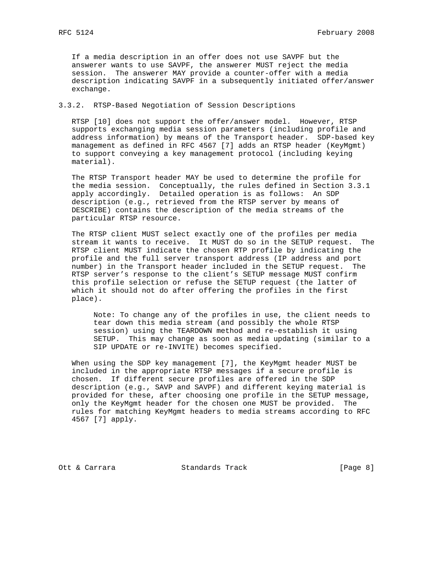If a media description in an offer does not use SAVPF but the answerer wants to use SAVPF, the answerer MUST reject the media session. The answerer MAY provide a counter-offer with a media description indicating SAVPF in a subsequently initiated offer/answer exchange.

## 3.3.2. RTSP-Based Negotiation of Session Descriptions

 RTSP [10] does not support the offer/answer model. However, RTSP supports exchanging media session parameters (including profile and address information) by means of the Transport header. SDP-based key management as defined in RFC 4567 [7] adds an RTSP header (KeyMgmt) to support conveying a key management protocol (including keying material).

 The RTSP Transport header MAY be used to determine the profile for the media session. Conceptually, the rules defined in Section 3.3.1 apply accordingly. Detailed operation is as follows: An SDP description (e.g., retrieved from the RTSP server by means of DESCRIBE) contains the description of the media streams of the particular RTSP resource.

 The RTSP client MUST select exactly one of the profiles per media stream it wants to receive. It MUST do so in the SETUP request. The RTSP client MUST indicate the chosen RTP profile by indicating the profile and the full server transport address (IP address and port number) in the Transport header included in the SETUP request. The RTSP server's response to the client's SETUP message MUST confirm this profile selection or refuse the SETUP request (the latter of which it should not do after offering the profiles in the first place).

 Note: To change any of the profiles in use, the client needs to tear down this media stream (and possibly the whole RTSP session) using the TEARDOWN method and re-establish it using SETUP. This may change as soon as media updating (similar to a SIP UPDATE or re-INVITE) becomes specified.

 When using the SDP key management [7], the KeyMgmt header MUST be included in the appropriate RTSP messages if a secure profile is chosen. If different secure profiles are offered in the SDP description (e.g., SAVP and SAVPF) and different keying material is provided for these, after choosing one profile in the SETUP message, only the KeyMgmt header for the chosen one MUST be provided. The rules for matching KeyMgmt headers to media streams according to RFC 4567 [7] apply.

Ott & Carrara Standards Track [Page 8]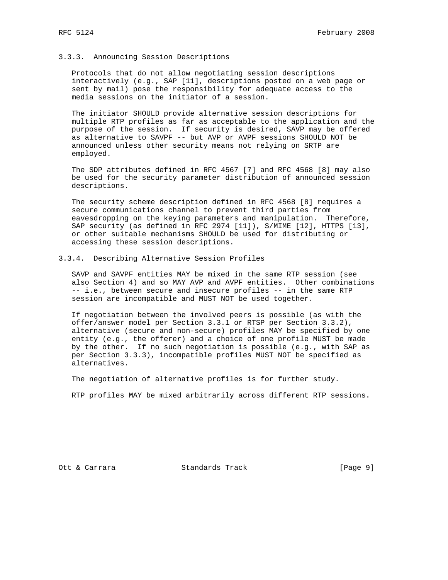### 3.3.3. Announcing Session Descriptions

 Protocols that do not allow negotiating session descriptions interactively (e.g., SAP [11], descriptions posted on a web page or sent by mail) pose the responsibility for adequate access to the media sessions on the initiator of a session.

 The initiator SHOULD provide alternative session descriptions for multiple RTP profiles as far as acceptable to the application and the purpose of the session. If security is desired, SAVP may be offered as alternative to SAVPF -- but AVP or AVPF sessions SHOULD NOT be announced unless other security means not relying on SRTP are employed.

 The SDP attributes defined in RFC 4567 [7] and RFC 4568 [8] may also be used for the security parameter distribution of announced session descriptions.

 The security scheme description defined in RFC 4568 [8] requires a secure communications channel to prevent third parties from eavesdropping on the keying parameters and manipulation. Therefore, SAP security (as defined in RFC 2974 [11]), S/MIME [12], HTTPS [13], or other suitable mechanisms SHOULD be used for distributing or accessing these session descriptions.

### 3.3.4. Describing Alternative Session Profiles

 SAVP and SAVPF entities MAY be mixed in the same RTP session (see also Section 4) and so MAY AVP and AVPF entities. Other combinations -- i.e., between secure and insecure profiles -- in the same RTP session are incompatible and MUST NOT be used together.

 If negotiation between the involved peers is possible (as with the offer/answer model per Section 3.3.1 or RTSP per Section 3.3.2), alternative (secure and non-secure) profiles MAY be specified by one entity (e.g., the offerer) and a choice of one profile MUST be made by the other. If no such negotiation is possible (e.g., with SAP as per Section 3.3.3), incompatible profiles MUST NOT be specified as alternatives.

The negotiation of alternative profiles is for further study.

RTP profiles MAY be mixed arbitrarily across different RTP sessions.

Ott & Carrara Standards Track [Page 9]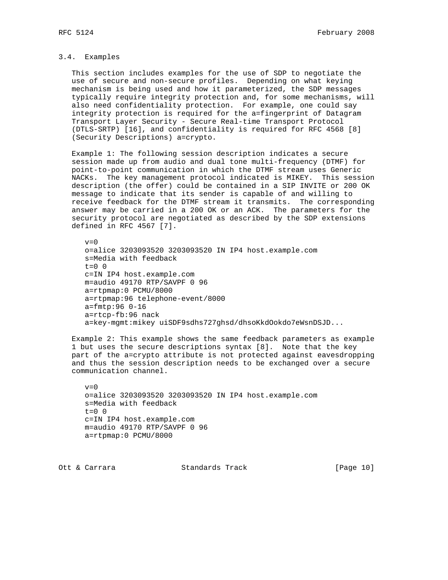# 3.4. Examples

 This section includes examples for the use of SDP to negotiate the use of secure and non-secure profiles. Depending on what keying mechanism is being used and how it parameterized, the SDP messages typically require integrity protection and, for some mechanisms, will also need confidentiality protection. For example, one could say integrity protection is required for the a=fingerprint of Datagram Transport Layer Security - Secure Real-time Transport Protocol (DTLS-SRTP) [16], and confidentiality is required for RFC 4568 [8] (Security Descriptions) a=crypto.

 Example 1: The following session description indicates a secure session made up from audio and dual tone multi-frequency (DTMF) for point-to-point communication in which the DTMF stream uses Generic NACKs. The key management protocol indicated is MIKEY. This session description (the offer) could be contained in a SIP INVITE or 200 OK message to indicate that its sender is capable of and willing to receive feedback for the DTMF stream it transmits. The corresponding answer may be carried in a 200 OK or an ACK. The parameters for the security protocol are negotiated as described by the SDP extensions defined in RFC 4567 [7].

```
v=0 o=alice 3203093520 3203093520 IN IP4 host.example.com
 s=Media with feedback
t=0 0
 c=IN IP4 host.example.com
 m=audio 49170 RTP/SAVPF 0 96
 a=rtpmap:0 PCMU/8000
 a=rtpmap:96 telephone-event/8000
 a=fmtp:96 0-16
 a=rtcp-fb:96 nack
 a=key-mgmt:mikey uiSDF9sdhs727ghsd/dhsoKkdOokdo7eWsnDSJD...
```
 Example 2: This example shows the same feedback parameters as example 1 but uses the secure descriptions syntax [8]. Note that the key part of the a=crypto attribute is not protected against eavesdropping and thus the session description needs to be exchanged over a secure communication channel.

```
v=0 o=alice 3203093520 3203093520 IN IP4 host.example.com
 s=Media with feedback
t=0 0
 c=IN IP4 host.example.com
 m=audio 49170 RTP/SAVPF 0 96
 a=rtpmap:0 PCMU/8000
```
Ott & Carrara Standards Track [Page 10]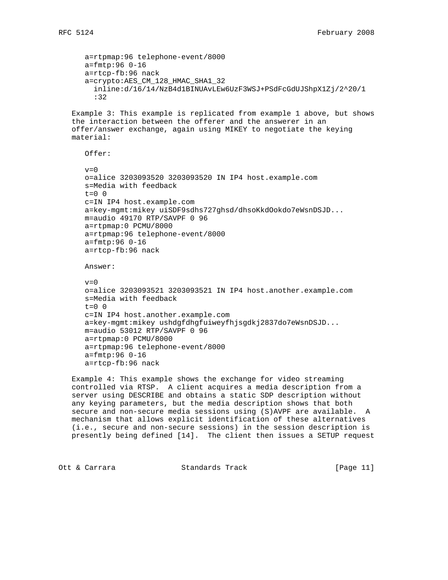a=rtpmap:96 telephone-event/8000 a=fmtp:96 0-16 a=rtcp-fb:96 nack a=crypto:AES\_CM\_128\_HMAC\_SHA1\_32 inline:d/16/14/NzB4d1BINUAvLEw6UzF3WSJ+PSdFcGdUJShpX1Zj/2^20/1 :32 Example 3: This example is replicated from example 1 above, but shows the interaction between the offerer and the answerer in an offer/answer exchange, again using MIKEY to negotiate the keying material: Offer:  $v=0$  o=alice 3203093520 3203093520 IN IP4 host.example.com s=Media with feedback  $t=0$  0 c=IN IP4 host.example.com a=key-mgmt:mikey uiSDF9sdhs727ghsd/dhsoKkdOokdo7eWsnDSJD... m=audio 49170 RTP/SAVPF 0 96 a=rtpmap:0 PCMU/8000 a=rtpmap:96 telephone-event/8000 a=fmtp:96 0-16 a=rtcp-fb:96 nack Answer:  $v=0$  o=alice 3203093521 3203093521 IN IP4 host.another.example.com s=Media with feedback  $t=0$  0 c=IN IP4 host.another.example.com a=key-mgmt:mikey ushdgfdhgfuiweyfhjsgdkj2837do7eWsnDSJD... m=audio 53012 RTP/SAVPF 0 96 a=rtpmap:0 PCMU/8000 a=rtpmap:96 telephone-event/8000 a=fmtp:96 0-16 a=rtcp-fb:96 nack Example 4: This example shows the exchange for video streaming controlled via RTSP. A client acquires a media description from a server using DESCRIBE and obtains a static SDP description without

 any keying parameters, but the media description shows that both secure and non-secure media sessions using (S)AVPF are available. A mechanism that allows explicit identification of these alternatives (i.e., secure and non-secure sessions) in the session description is presently being defined [14]. The client then issues a SETUP request

Ott & Carrara Standards Track [Page 11]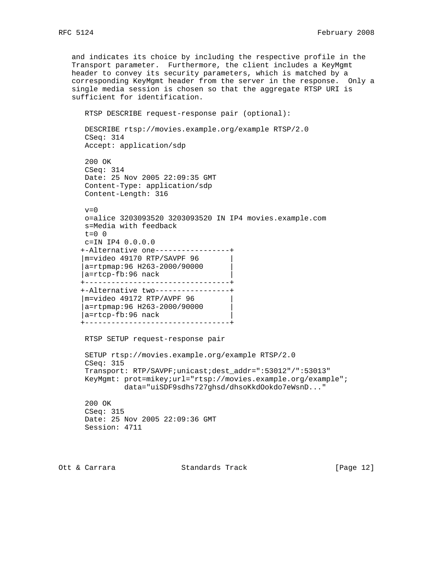and indicates its choice by including the respective profile in the Transport parameter. Furthermore, the client includes a KeyMgmt header to convey its security parameters, which is matched by a corresponding KeyMgmt header from the server in the response. Only a single media session is chosen so that the aggregate RTSP URI is sufficient for identification. RTSP DESCRIBE request-response pair (optional): DESCRIBE rtsp://movies.example.org/example RTSP/2.0 CSeq: 314 Accept: application/sdp 200 OK CSeq: 314 Date: 25 Nov 2005 22:09:35 GMT Content-Type: application/sdp Content-Length: 316  $v=0$  o=alice 3203093520 3203093520 IN IP4 movies.example.com s=Media with feedback t=0 0 c=IN IP4 0.0.0.0 +-Alternative one-----------------+ |m=video 49170 RTP/SAVPF 96 | |a=rtpmap:96 H263-2000/90000 | |a=rtcp-fb:96 nack | +---------------------------------+ +-Alternative two-----------------+ |m=video 49172 RTP/AVPF 96 | |a=rtpmap:96 H263-2000/90000 | |a=rtcp-fb:96 nack | +---------------------------------+ RTSP SETUP request-response pair SETUP rtsp://movies.example.org/example RTSP/2.0 CSeq: 315 Transport: RTP/SAVPF;unicast;dest\_addr=":53012"/":53013" KeyMgmt: prot=mikey;url="rtsp://movies.example.org/example"; data="uiSDF9sdhs727ghsd/dhsoKkdOokdo7eWsnD..." 200 OK CSeq: 315 Date: 25 Nov 2005 22:09:36 GMT Session: 4711

Ott & Carrara Standards Track [Page 12]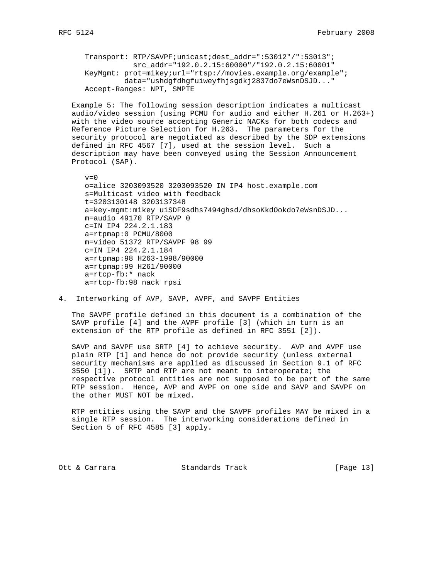```
 Transport: RTP/SAVPF;unicast;dest_addr=":53012"/":53013";
            src_addr="192.0.2.15:60000"/"192.0.2.15:60001"
 KeyMgmt: prot=mikey;url="rtsp://movies.example.org/example";
          data="ushdgfdhgfuiweyfhjsgdkj2837do7eWsnDSJD..."
 Accept-Ranges: NPT, SMPTE
```
 Example 5: The following session description indicates a multicast audio/video session (using PCMU for audio and either H.261 or H.263+) with the video source accepting Generic NACKs for both codecs and Reference Picture Selection for H.263. The parameters for the security protocol are negotiated as described by the SDP extensions defined in RFC 4567 [7], used at the session level. Such a description may have been conveyed using the Session Announcement Protocol (SAP).

```
v=0 o=alice 3203093520 3203093520 IN IP4 host.example.com
 s=Multicast video with feedback
 t=3203130148 3203137348
 a=key-mgmt:mikey uiSDF9sdhs7494ghsd/dhsoKkdOokdo7eWsnDSJD...
 m=audio 49170 RTP/SAVP 0
 c=IN IP4 224.2.1.183
 a=rtpmap:0 PCMU/8000
 m=video 51372 RTP/SAVPF 98 99
 c=IN IP4 224.2.1.184
 a=rtpmap:98 H263-1998/90000
 a=rtpmap:99 H261/90000
 a=rtcp-fb:* nack
 a=rtcp-fb:98 nack rpsi
```
4. Interworking of AVP, SAVP, AVPF, and SAVPF Entities

 The SAVPF profile defined in this document is a combination of the SAVP profile [4] and the AVPF profile [3] (which in turn is an extension of the RTP profile as defined in RFC 3551 [2]).

 SAVP and SAVPF use SRTP [4] to achieve security. AVP and AVPF use plain RTP [1] and hence do not provide security (unless external security mechanisms are applied as discussed in Section 9.1 of RFC 3550 [1]). SRTP and RTP are not meant to interoperate; the respective protocol entities are not supposed to be part of the same RTP session. Hence, AVP and AVPF on one side and SAVP and SAVPF on the other MUST NOT be mixed.

 RTP entities using the SAVP and the SAVPF profiles MAY be mixed in a single RTP session. The interworking considerations defined in Section 5 of RFC 4585 [3] apply.

Ott & Carrara Standards Track [Page 13]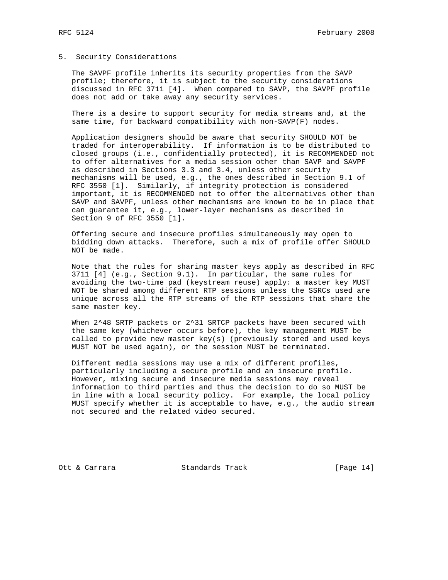### 5. Security Considerations

 The SAVPF profile inherits its security properties from the SAVP profile; therefore, it is subject to the security considerations discussed in RFC 3711 [4]. When compared to SAVP, the SAVPF profile does not add or take away any security services.

 There is a desire to support security for media streams and, at the same time, for backward compatibility with non-SAVP(F) nodes.

 Application designers should be aware that security SHOULD NOT be traded for interoperability. If information is to be distributed to closed groups (i.e., confidentially protected), it is RECOMMENDED not to offer alternatives for a media session other than SAVP and SAVPF as described in Sections 3.3 and 3.4, unless other security mechanisms will be used, e.g., the ones described in Section 9.1 of RFC 3550 [1]. Similarly, if integrity protection is considered important, it is RECOMMENDED not to offer the alternatives other than SAVP and SAVPF, unless other mechanisms are known to be in place that can guarantee it, e.g., lower-layer mechanisms as described in Section 9 of RFC 3550 [1].

 Offering secure and insecure profiles simultaneously may open to bidding down attacks. Therefore, such a mix of profile offer SHOULD NOT be made.

 Note that the rules for sharing master keys apply as described in RFC 3711 [4] (e.g., Section 9.1). In particular, the same rules for avoiding the two-time pad (keystream reuse) apply: a master key MUST NOT be shared among different RTP sessions unless the SSRCs used are unique across all the RTP streams of the RTP sessions that share the same master key.

When 2^48 SRTP packets or 2^31 SRTCP packets have been secured with the same key (whichever occurs before), the key management MUST be called to provide new master key(s) (previously stored and used keys MUST NOT be used again), or the session MUST be terminated.

 Different media sessions may use a mix of different profiles, particularly including a secure profile and an insecure profile. However, mixing secure and insecure media sessions may reveal information to third parties and thus the decision to do so MUST be in line with a local security policy. For example, the local policy MUST specify whether it is acceptable to have, e.g., the audio stream not secured and the related video secured.

Ott & Carrara Standards Track [Page 14]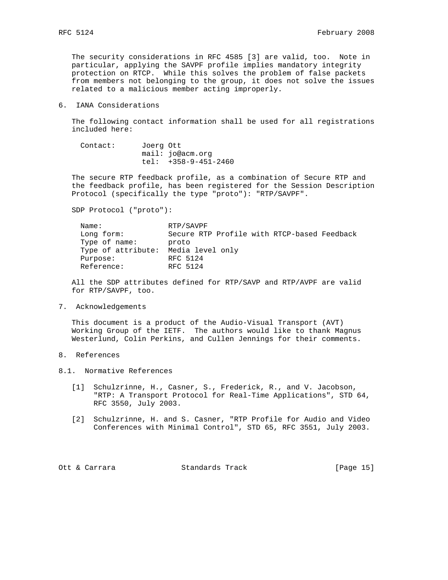The security considerations in RFC 4585 [3] are valid, too. Note in particular, applying the SAVPF profile implies mandatory integrity protection on RTCP. While this solves the problem of false packets from members not belonging to the group, it does not solve the issues related to a malicious member acting improperly.

6. IANA Considerations

 The following contact information shall be used for all registrations included here:

| Contact: | Joerg Ott |                        |
|----------|-----------|------------------------|
|          |           | mail: jo@acm.org       |
|          |           | tel: $+358-9-451-2460$ |

 The secure RTP feedback profile, as a combination of Secure RTP and the feedback profile, has been registered for the Session Description Protocol (specifically the type "proto"): "RTP/SAVPF".

SDP Protocol ("proto"):

| Name:              | RTP/SAVPF                                   |  |  |  |
|--------------------|---------------------------------------------|--|--|--|
| Long form:         | Secure RTP Profile with RTCP-based Feedback |  |  |  |
| Type of name:      | proto                                       |  |  |  |
| Type of attribute: | Media level only                            |  |  |  |
| Purpose:           | RFC 5124                                    |  |  |  |
| Reference:         | RFC 5124                                    |  |  |  |

 All the SDP attributes defined for RTP/SAVP and RTP/AVPF are valid for RTP/SAVPF, too.

7. Acknowledgements

 This document is a product of the Audio-Visual Transport (AVT) Working Group of the IETF. The authors would like to thank Magnus Westerlund, Colin Perkins, and Cullen Jennings for their comments.

- 8. References
- 8.1. Normative References
	- [1] Schulzrinne, H., Casner, S., Frederick, R., and V. Jacobson, "RTP: A Transport Protocol for Real-Time Applications", STD 64, RFC 3550, July 2003.
	- [2] Schulzrinne, H. and S. Casner, "RTP Profile for Audio and Video Conferences with Minimal Control", STD 65, RFC 3551, July 2003.

Ott & Carrara Standards Track [Page 15]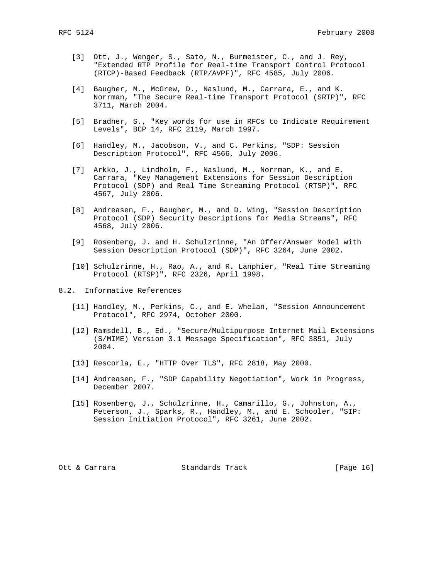- [3] Ott, J., Wenger, S., Sato, N., Burmeister, C., and J. Rey, "Extended RTP Profile for Real-time Transport Control Protocol (RTCP)-Based Feedback (RTP/AVPF)", RFC 4585, July 2006.
- [4] Baugher, M., McGrew, D., Naslund, M., Carrara, E., and K. Norrman, "The Secure Real-time Transport Protocol (SRTP)", RFC 3711, March 2004.
- [5] Bradner, S., "Key words for use in RFCs to Indicate Requirement Levels", BCP 14, RFC 2119, March 1997.
- [6] Handley, M., Jacobson, V., and C. Perkins, "SDP: Session Description Protocol", RFC 4566, July 2006.
- [7] Arkko, J., Lindholm, F., Naslund, M., Norrman, K., and E. Carrara, "Key Management Extensions for Session Description Protocol (SDP) and Real Time Streaming Protocol (RTSP)", RFC 4567, July 2006.
- [8] Andreasen, F., Baugher, M., and D. Wing, "Session Description Protocol (SDP) Security Descriptions for Media Streams", RFC 4568, July 2006.
- [9] Rosenberg, J. and H. Schulzrinne, "An Offer/Answer Model with Session Description Protocol (SDP)", RFC 3264, June 2002.
- [10] Schulzrinne, H., Rao, A., and R. Lanphier, "Real Time Streaming Protocol (RTSP)", RFC 2326, April 1998.
- 8.2. Informative References
	- [11] Handley, M., Perkins, C., and E. Whelan, "Session Announcement Protocol", RFC 2974, October 2000.
	- [12] Ramsdell, B., Ed., "Secure/Multipurpose Internet Mail Extensions (S/MIME) Version 3.1 Message Specification", RFC 3851, July 2004.
	- [13] Rescorla, E., "HTTP Over TLS", RFC 2818, May 2000.
	- [14] Andreasen, F., "SDP Capability Negotiation", Work in Progress, December 2007.
	- [15] Rosenberg, J., Schulzrinne, H., Camarillo, G., Johnston, A., Peterson, J., Sparks, R., Handley, M., and E. Schooler, "SIP: Session Initiation Protocol", RFC 3261, June 2002.

Ott & Carrara Standards Track [Page 16]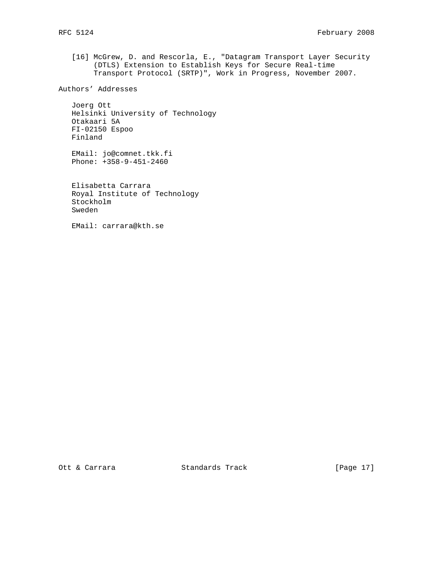[16] McGrew, D. and Rescorla, E., "Datagram Transport Layer Security (DTLS) Extension to Establish Keys for Secure Real-time Transport Protocol (SRTP)", Work in Progress, November 2007.

Authors' Addresses

 Joerg Ott Helsinki University of Technology Otakaari 5A FI-02150 Espoo Finland

 EMail: jo@comnet.tkk.fi Phone: +358-9-451-2460

 Elisabetta Carrara Royal Institute of Technology Stockholm Sweden

EMail: carrara@kth.se

Ott & Carrara Standards Track [Page 17]